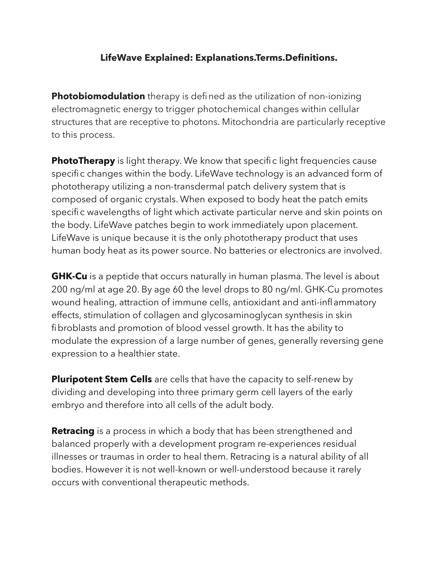## **LifeWave Explained: Explanations.Terms.Definitions.**

**Photobiomodulation** therapy is defined as the utilization of non-ionizing electromagnetic energy to trigger photochemical changes within cellular structures that are receptive to photons. Mitochondria are particularly receptive to this process.

**PhotoTherapy** is light therapy. We know that specific light frequencies cause specific changes within the body. LifeWave technology is an advanced form of phototherapy utilizing a non-transdermal patch delivery system that is composed of organic crystals. When exposed to body heat the patch emits specific wavelengths of light which activate particular nerve and skin points on the body. LifeWave patches begin to work immediately upon placement. LifeWave is unique because it is the only phototherapy product that uses human body heat as its power source. No batteries or electronics are involved.

**GHK-Cu** is a peptide that occurs naturally in human plasma. The level is about 200 ng/ml at age 20. By age 60 the level drops to 80 ng/ml. GHK-Cu promotes wound healing, attraction of immune cells, antioxidant and anti-inflammatory effects, stimulation of collagen and glycosaminoglycan synthesis in skin fibroblasts and promotion of blood vessel growth. It has the ability to modulate the expression of a large number of genes, generally reversing gene expression to a healthier state.

**Pluripotent Stem Cells** are cells that have the capacity to self-renew by dividing and developing into three primary germ cell layers of the early embryo and therefore into all cells of the adult body.

**Retracing** is a process in which a body that has been strengthened and balanced properly with a development program re-experiences residual illnesses or traumas in order to heal them. Retracing is a natural ability of all bodies. However it is not well-known or well-understood because it rarely occurs with conventional therapeutic methods.